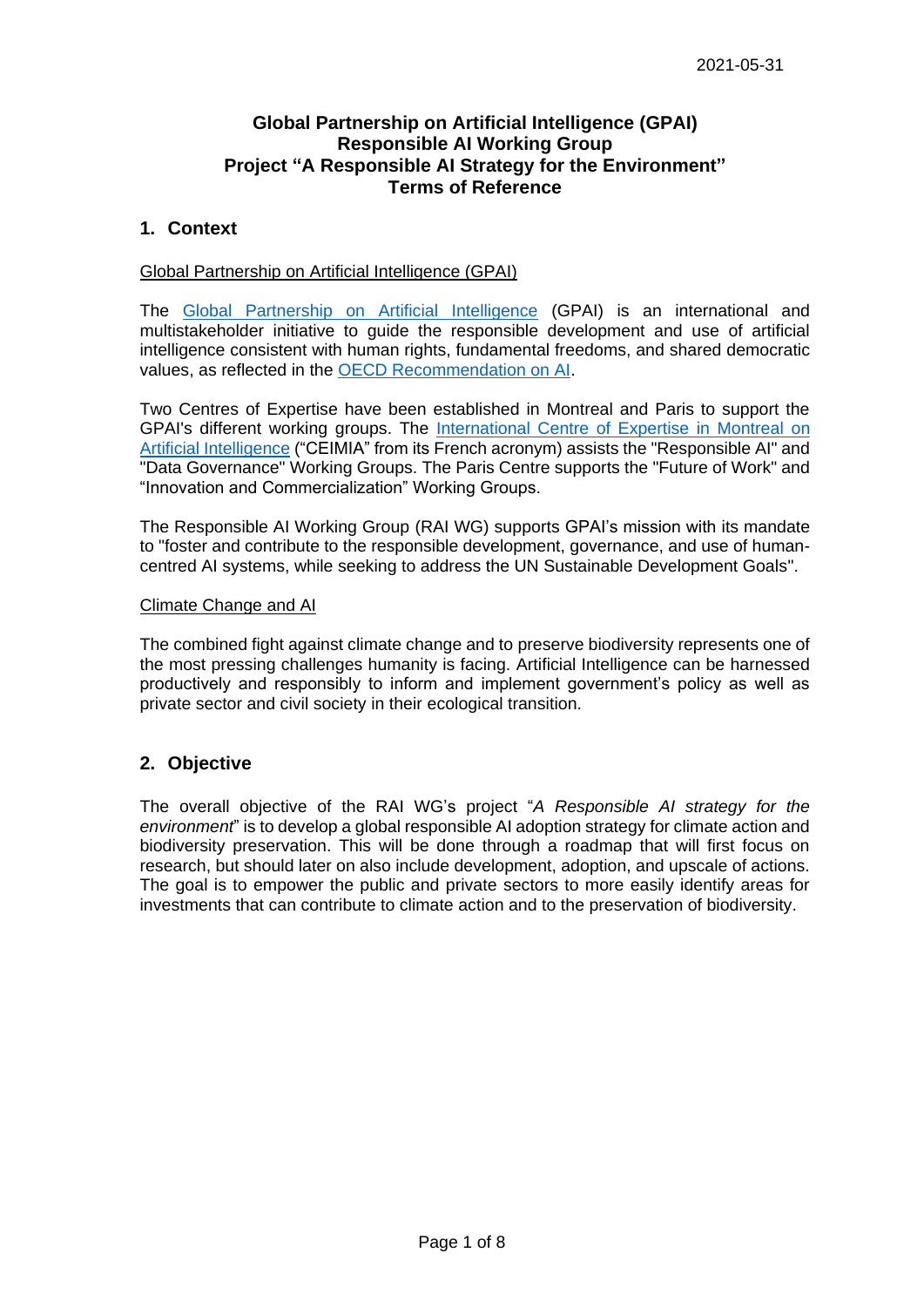#### **Global Partnership on Artificial Intelligence (GPAI) Responsible AI Working Group Project "A Responsible AI Strategy for the Environment" Terms of Reference**

#### **1. Context**

#### Global Partnership on Artificial Intelligence (GPAI)

The [Global Partnership on Artificial Intelligence](https://www.gpai.ai/) (GPAI) is an international and multistakeholder initiative to guide the responsible development and use of artificial intelligence consistent with human rights, fundamental freedoms, and shared democratic values, as reflected in the [OECD Recommendation on AI.](https://legalinstruments.oecd.org/en/instruments/OECD-LEGAL-0449)

Two Centres of Expertise have been established in Montreal and Paris to support the GPAI's different working groups. The [International Centre of Expertise in Montreal on](https://ceimia.org/en/) [Artificial Intelligence](https://ceimia.org/en/) ("CEIMIA" from its French acronym) assists the "Responsible AI" and "Data Governance" Working Groups. The Paris Centre supports the "Future of Work" and "Innovation and Commercialization" Working Groups.

The Responsible AI Working Group (RAI WG) supports GPAI's mission with its mandate to "foster and contribute to the responsible development, governance, and use of humancentred AI systems, while seeking to address the UN Sustainable Development Goals".

#### Climate Change and AI

The combined fight against climate change and to preserve biodiversity represents one of the most pressing challenges humanity is facing. Artificial Intelligence can be harnessed productively and responsibly to inform and implement government's policy as well as private sector and civil society in their ecological transition.

## **2. Objective**

The overall objective of the RAI WG's project "*A Responsible AI strategy for the environment*" is to develop a global responsible AI adoption strategy for climate action and biodiversity preservation. This will be done through a roadmap that will first focus on research, but should later on also include development, adoption, and upscale of actions. The goal is to empower the public and private sectors to more easily identify areas for investments that can contribute to climate action and to the preservation of biodiversity.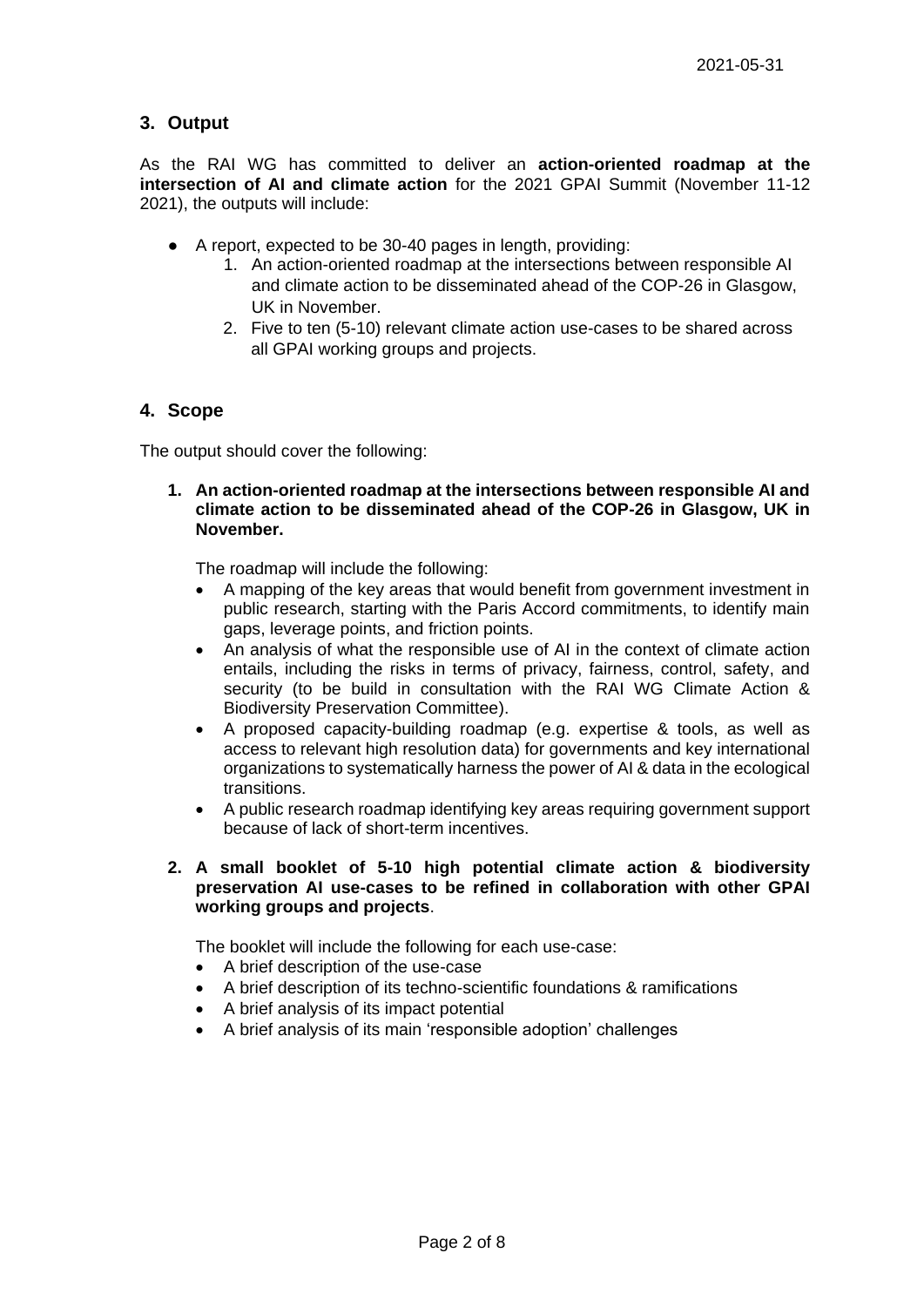# **3. Output**

As the RAI WG has committed to deliver an **action-oriented roadmap at the intersection of AI and climate action** for the 2021 GPAI Summit (November 11-12 2021), the outputs will include:

- A report, expected to be 30-40 pages in length, providing:
	- 1. An action-oriented roadmap at the intersections between responsible AI and climate action to be disseminated ahead of the COP-26 in Glasgow, UK in November.
	- 2. Five to ten (5-10) relevant climate action use-cases to be shared across all GPAI working groups and projects.

## **4. Scope**

The output should cover the following:

**1. An action-oriented roadmap at the intersections between responsible AI and climate action to be disseminated ahead of the COP-26 in Glasgow, UK in November.**

The roadmap will include the following:

- A mapping of the key areas that would benefit from government investment in public research, starting with the Paris Accord commitments, to identify main gaps, leverage points, and friction points.
- An analysis of what the responsible use of AI in the context of climate action entails, including the risks in terms of privacy, fairness, control, safety, and security (to be build in consultation with the RAI WG Climate Action & Biodiversity Preservation Committee).
- A proposed capacity-building roadmap (e.g. expertise & tools, as well as access to relevant high resolution data) for governments and key international organizations to systematically harness the power of AI & data in the ecological transitions.
- A public research roadmap identifying key areas requiring government support because of lack of short-term incentives.
- **2. A small booklet of 5-10 high potential climate action & biodiversity preservation AI use-cases to be refined in collaboration with other GPAI working groups and projects**.

The booklet will include the following for each use-case:

- A brief description of the use-case
- A brief description of its techno-scientific foundations & ramifications
- A brief analysis of its impact potential
- A brief analysis of its main 'responsible adoption' challenges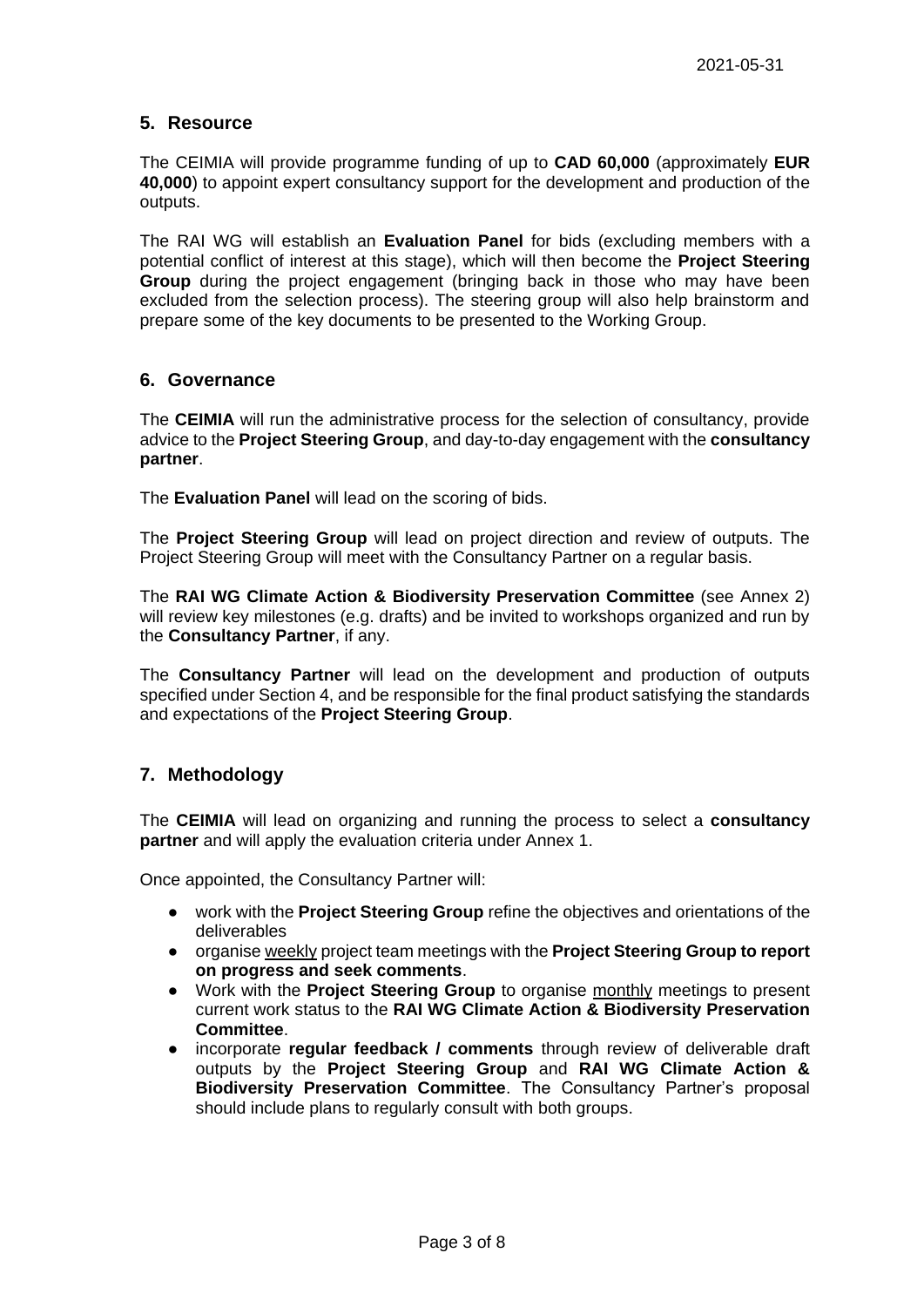## **5. Resource**

The CEIMIA will provide programme funding of up to **CAD 60,000** (approximately **EUR 40,000**) to appoint expert consultancy support for the development and production of the outputs.

The RAI WG will establish an **Evaluation Panel** for bids (excluding members with a potential conflict of interest at this stage), which will then become the **Project Steering Group** during the project engagement (bringing back in those who may have been excluded from the selection process). The steering group will also help brainstorm and prepare some of the key documents to be presented to the Working Group.

#### **6. Governance**

The **CEIMIA** will run the administrative process for the selection of consultancy, provide advice to the **Project Steering Group**, and day-to-day engagement with the **consultancy partner**.

The **Evaluation Panel** will lead on the scoring of bids.

The **Project Steering Group** will lead on project direction and review of outputs. The Project Steering Group will meet with the Consultancy Partner on a regular basis.

The **RAI WG Climate Action & Biodiversity Preservation Committee** (see Annex 2) will review key milestones (e.g. drafts) and be invited to workshops organized and run by the **Consultancy Partner**, if any.

The **Consultancy Partner** will lead on the development and production of outputs specified under Section 4, and be responsible for the final product satisfying the standards and expectations of the **Project Steering Group**.

## **7. Methodology**

The **CEIMIA** will lead on organizing and running the process to select a **consultancy partner** and will apply the evaluation criteria under Annex 1.

Once appointed, the Consultancy Partner will:

- work with the **Project Steering Group** refine the objectives and orientations of the deliverables
- organise weekly project team meetings with the **Project Steering Group to report on progress and seek comments**.
- Work with the **Project Steering Group** to organise monthly meetings to present current work status to the **RAI WG Climate Action & Biodiversity Preservation Committee**.
- incorporate **regular feedback / comments** through review of deliverable draft outputs by the **Project Steering Group** and **RAI WG Climate Action & Biodiversity Preservation Committee**. The Consultancy Partner's proposal should include plans to regularly consult with both groups.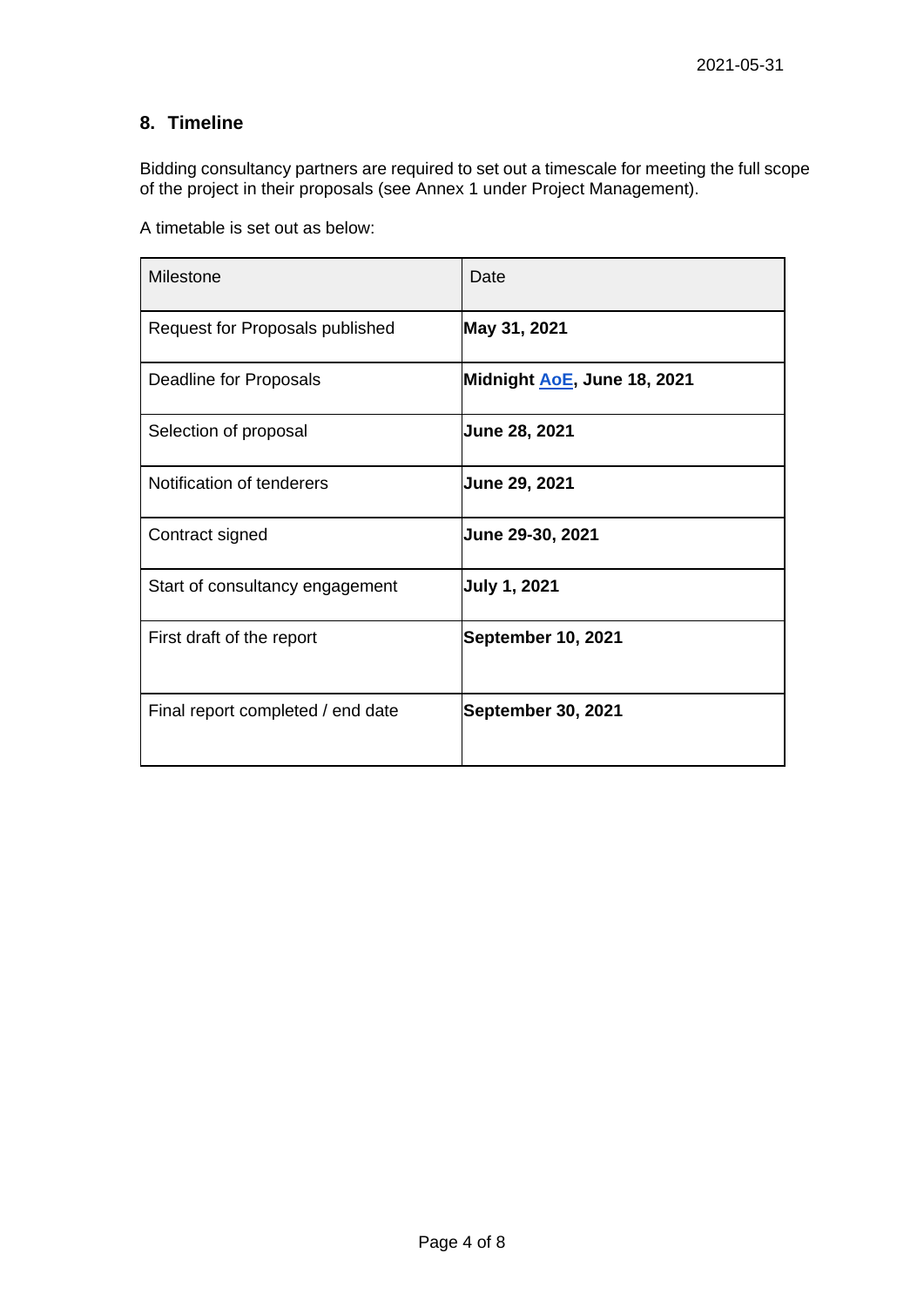# **8. Timeline**

Bidding consultancy partners are required to set out a timescale for meeting the full scope of the project in their proposals (see Annex 1 under Project Management).

A timetable is set out as below:

| Milestone                         | Date                        |
|-----------------------------------|-----------------------------|
| Request for Proposals published   | May 31, 2021                |
| Deadline for Proposals            | Midnight AoE, June 18, 2021 |
| Selection of proposal             | <b>June 28, 2021</b>        |
| Notification of tenderers         | <b>June 29, 2021</b>        |
| Contract signed                   | June 29-30, 2021            |
| Start of consultancy engagement   | <b>July 1, 2021</b>         |
| First draft of the report         | September 10, 2021          |
| Final report completed / end date | <b>September 30, 2021</b>   |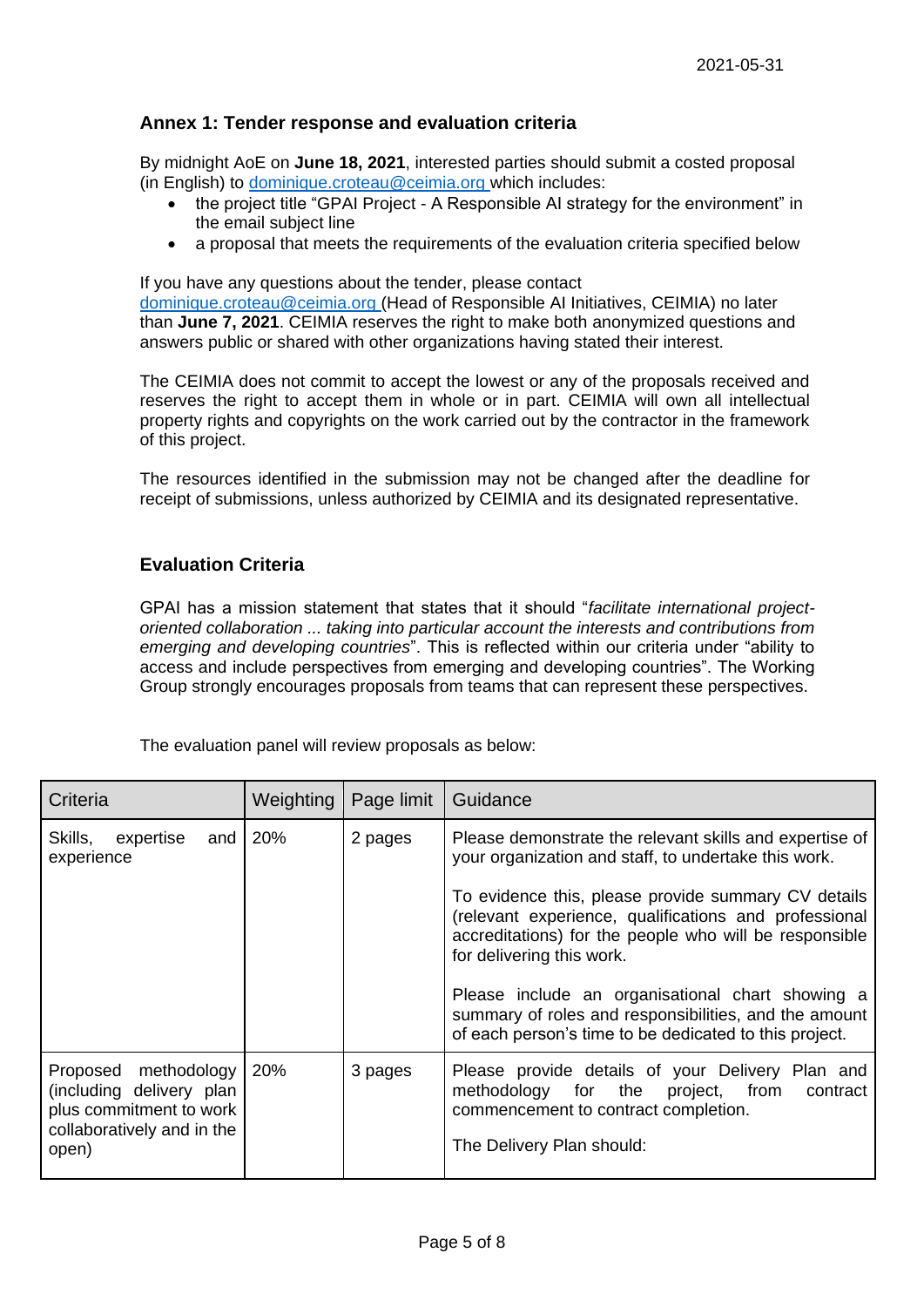# **Annex 1: Tender response and evaluation criteria**

By midnight AoE on **June 18, 2021**, interested parties should submit a costed proposal (in English) to [dominique.croteau@ceimia.org](mailto:dominique.croteau@ceimia.org) which includes:

- the project title "GPAI Project A Responsible AI strategy for the environment" in the email subject line
- a proposal that meets the requirements of the evaluation criteria specified below

If you have any questions about the tender, please contact

[dominique.croteau@ceimia.org](mailto:dominique.croteau@ceimia.org) (Head of Responsible AI Initiatives, CEIMIA) no later than **June 7, 2021**. CEIMIA reserves the right to make both anonymized questions and answers public or shared with other organizations having stated their interest.

The CEIMIA does not commit to accept the lowest or any of the proposals received and reserves the right to accept them in whole or in part. CEIMIA will own all intellectual property rights and copyrights on the work carried out by the contractor in the framework of this project.

The resources identified in the submission may not be changed after the deadline for receipt of submissions, unless authorized by CEIMIA and its designated representative.

# **Evaluation Criteria**

GPAI has a mission statement that states that it should "*facilitate international projectoriented collaboration ... taking into particular account the interests and contributions from emerging and developing countries*". This is reflected within our criteria under "ability to access and include perspectives from emerging and developing countries". The Working Group strongly encourages proposals from teams that can represent these perspectives.

The evaluation panel will review proposals as below:

| Criteria                                                                                                              | Weighting | Page limit | Guidance                                                                                                                                                                                                                                                                                                                                                                                                                                                                                      |
|-----------------------------------------------------------------------------------------------------------------------|-----------|------------|-----------------------------------------------------------------------------------------------------------------------------------------------------------------------------------------------------------------------------------------------------------------------------------------------------------------------------------------------------------------------------------------------------------------------------------------------------------------------------------------------|
| Skills,<br>expertise<br>and<br>experience                                                                             | 20%       | 2 pages    | Please demonstrate the relevant skills and expertise of<br>your organization and staff, to undertake this work.<br>To evidence this, please provide summary CV details<br>(relevant experience, qualifications and professional<br>accreditations) for the people who will be responsible<br>for delivering this work.<br>Please include an organisational chart showing a<br>summary of roles and responsibilities, and the amount<br>of each person's time to be dedicated to this project. |
| methodology<br>Proposed<br>(including delivery plan<br>plus commitment to work<br>collaboratively and in the<br>open) | 20%       | 3 pages    | Please provide details of your Delivery Plan and<br>methodology for the<br>project, from<br>contract<br>commencement to contract completion.<br>The Delivery Plan should:                                                                                                                                                                                                                                                                                                                     |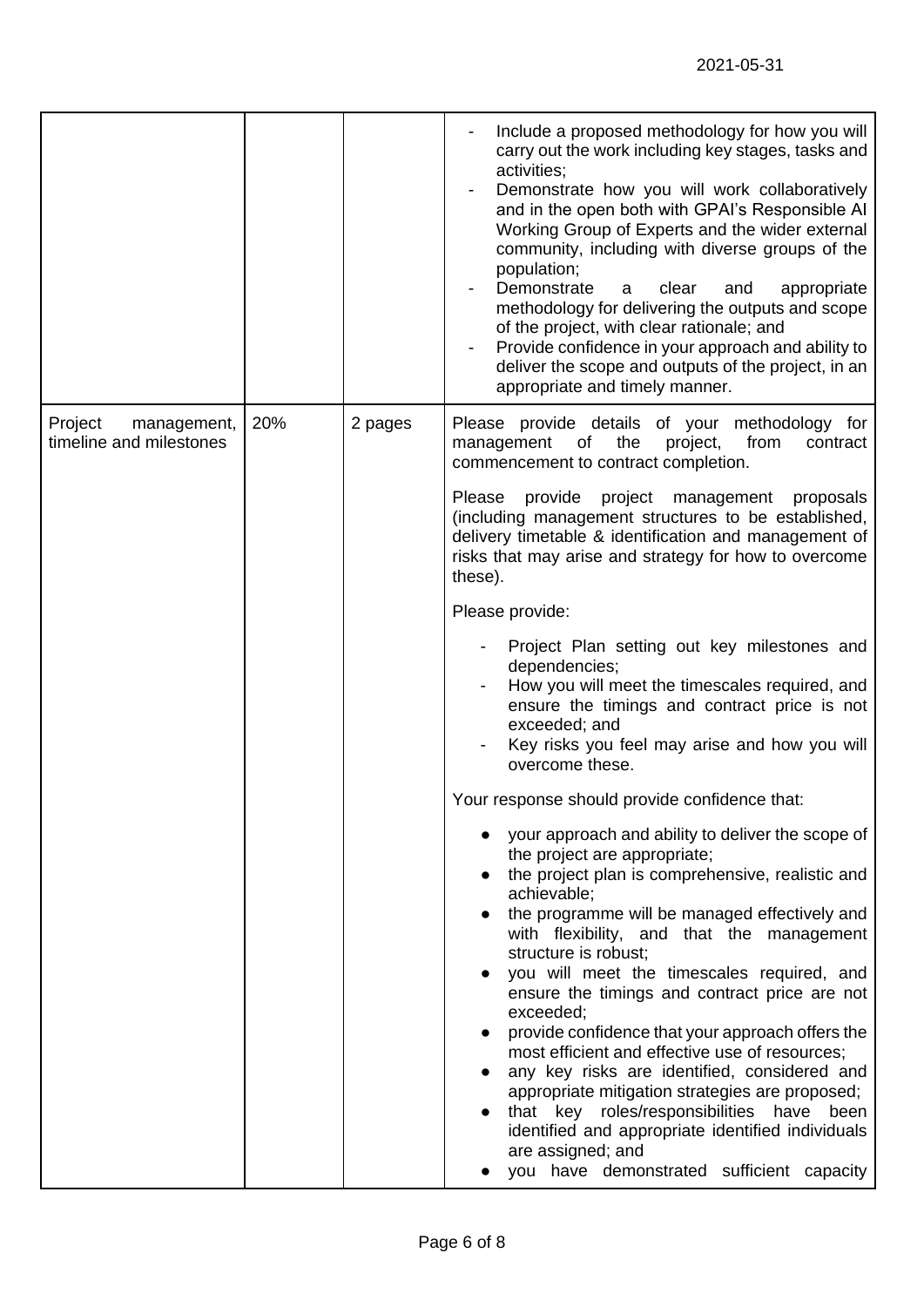| 20%<br>2 pages<br>Please provide details of your methodology for<br>Project<br>management,<br>timeline and milestones<br>management<br>of<br>the<br>project,<br>from<br>contract<br>commencement to contract completion.<br>provide<br>project management<br>Please<br>proposals<br>(including management structures to be established,<br>delivery timetable & identification and management of<br>risks that may arise and strategy for how to overcome<br>these).<br>Please provide:<br>Project Plan setting out key milestones and<br>dependencies;<br>How you will meet the timescales required, and<br>ensure the timings and contract price is not<br>exceeded; and<br>Key risks you feel may arise and how you will<br>overcome these.<br>Your response should provide confidence that:<br>your approach and ability to deliver the scope of<br>the project are appropriate;<br>the project plan is comprehensive, realistic and<br>achievable;<br>the programme will be managed effectively and<br>with flexibility, and that the management<br>structure is robust;<br>you will meet the timescales required, and<br>ensure the timings and contract price are not<br>exceeded;<br>provide confidence that your approach offers the<br>most efficient and effective use of resources;<br>any key risks are identified, considered and<br>appropriate mitigation strategies are proposed;<br>that key roles/responsibilities have<br>been<br>identified and appropriate identified individuals<br>are assigned; and<br>you have demonstrated sufficient capacity |  | Include a proposed methodology for how you will<br>carry out the work including key stages, tasks and<br>activities;<br>Demonstrate how you will work collaboratively<br>and in the open both with GPAI's Responsible AI<br>Working Group of Experts and the wider external<br>community, including with diverse groups of the<br>population;<br>Demonstrate<br>clear<br>and<br>appropriate<br>a<br>methodology for delivering the outputs and scope<br>of the project, with clear rationale; and<br>Provide confidence in your approach and ability to<br>deliver the scope and outputs of the project, in an<br>appropriate and timely manner. |
|---------------------------------------------------------------------------------------------------------------------------------------------------------------------------------------------------------------------------------------------------------------------------------------------------------------------------------------------------------------------------------------------------------------------------------------------------------------------------------------------------------------------------------------------------------------------------------------------------------------------------------------------------------------------------------------------------------------------------------------------------------------------------------------------------------------------------------------------------------------------------------------------------------------------------------------------------------------------------------------------------------------------------------------------------------------------------------------------------------------------------------------------------------------------------------------------------------------------------------------------------------------------------------------------------------------------------------------------------------------------------------------------------------------------------------------------------------------------------------------------------------------------------------------------------------------------------|--|--------------------------------------------------------------------------------------------------------------------------------------------------------------------------------------------------------------------------------------------------------------------------------------------------------------------------------------------------------------------------------------------------------------------------------------------------------------------------------------------------------------------------------------------------------------------------------------------------------------------------------------------------|
|                                                                                                                                                                                                                                                                                                                                                                                                                                                                                                                                                                                                                                                                                                                                                                                                                                                                                                                                                                                                                                                                                                                                                                                                                                                                                                                                                                                                                                                                                                                                                                           |  |                                                                                                                                                                                                                                                                                                                                                                                                                                                                                                                                                                                                                                                  |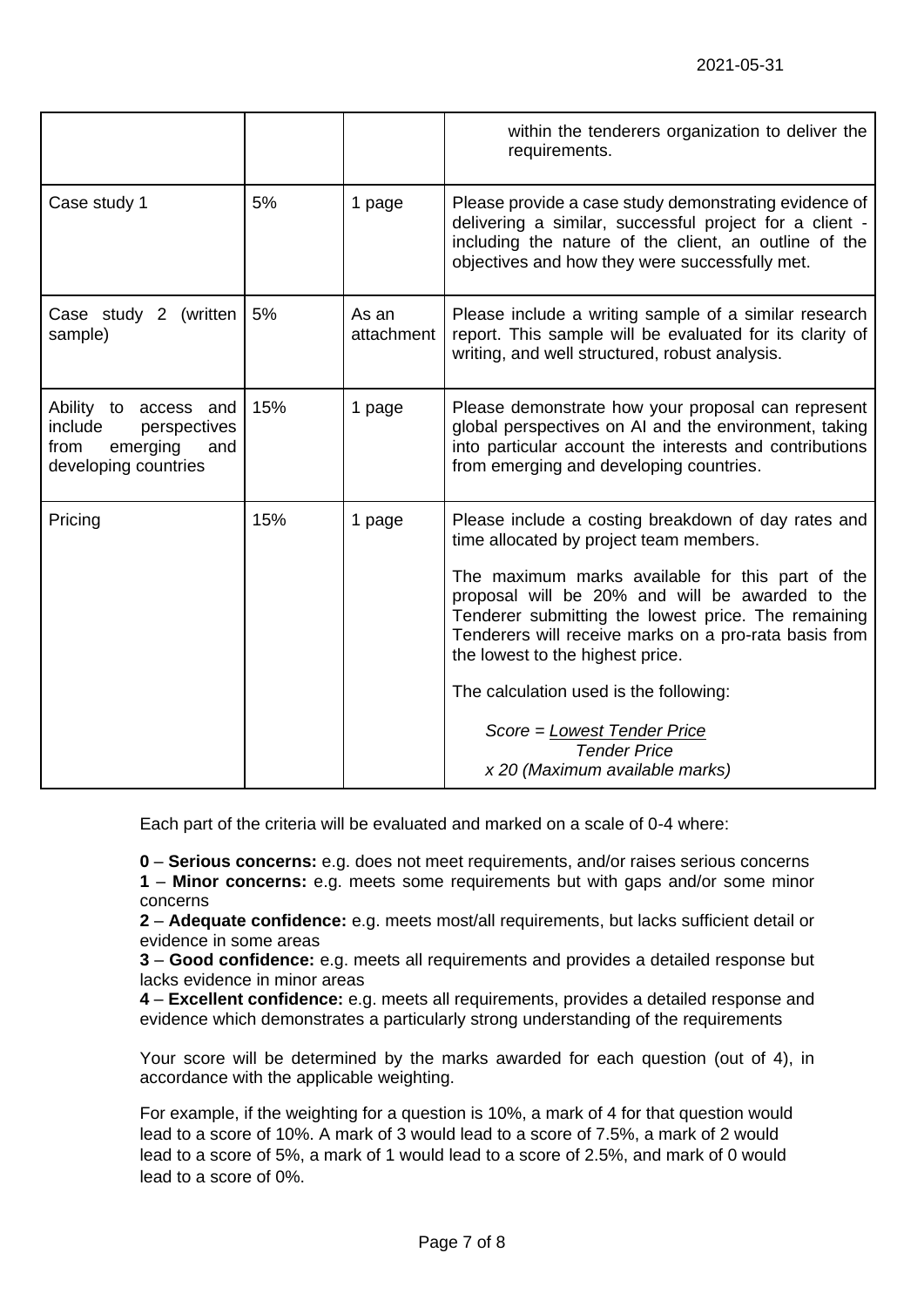|                                                                                                     |     |                     | within the tenderers organization to deliver the<br>requirements.                                                                                                                                                                                                                                                                                                                                                                                                                           |
|-----------------------------------------------------------------------------------------------------|-----|---------------------|---------------------------------------------------------------------------------------------------------------------------------------------------------------------------------------------------------------------------------------------------------------------------------------------------------------------------------------------------------------------------------------------------------------------------------------------------------------------------------------------|
| Case study 1                                                                                        | 5%  | 1 page              | Please provide a case study demonstrating evidence of<br>delivering a similar, successful project for a client -<br>including the nature of the client, an outline of the<br>objectives and how they were successfully met.                                                                                                                                                                                                                                                                 |
| Case study 2 (written<br>sample)                                                                    | 5%  | As an<br>attachment | Please include a writing sample of a similar research<br>report. This sample will be evaluated for its clarity of<br>writing, and well structured, robust analysis.                                                                                                                                                                                                                                                                                                                         |
| Ability to access and<br>include<br>perspectives<br>emerging<br>from<br>and<br>developing countries | 15% | 1 page              | Please demonstrate how your proposal can represent<br>global perspectives on AI and the environment, taking<br>into particular account the interests and contributions<br>from emerging and developing countries.                                                                                                                                                                                                                                                                           |
| Pricing                                                                                             | 15% | 1 page              | Please include a costing breakdown of day rates and<br>time allocated by project team members.<br>The maximum marks available for this part of the<br>proposal will be 20% and will be awarded to the<br>Tenderer submitting the lowest price. The remaining<br>Tenderers will receive marks on a pro-rata basis from<br>the lowest to the highest price.<br>The calculation used is the following:<br>Score = Lowest Tender Price<br><b>Tender Price</b><br>x 20 (Maximum available marks) |

Each part of the criteria will be evaluated and marked on a scale of 0-4 where:

**0** – **Serious concerns:** e.g. does not meet requirements, and/or raises serious concerns

**1** – **Minor concerns:** e.g. meets some requirements but with gaps and/or some minor concerns

**2** – **Adequate confidence:** e.g. meets most/all requirements, but lacks sufficient detail or evidence in some areas

**3** – **Good confidence:** e.g. meets all requirements and provides a detailed response but lacks evidence in minor areas

**4** – **Excellent confidence:** e.g. meets all requirements, provides a detailed response and evidence which demonstrates a particularly strong understanding of the requirements

Your score will be determined by the marks awarded for each question (out of 4), in accordance with the applicable weighting.

For example, if the weighting for a question is 10%, a mark of 4 for that question would lead to a score of 10%. A mark of 3 would lead to a score of 7.5%, a mark of 2 would lead to a score of 5%, a mark of 1 would lead to a score of 2.5%, and mark of 0 would lead to a score of 0%.